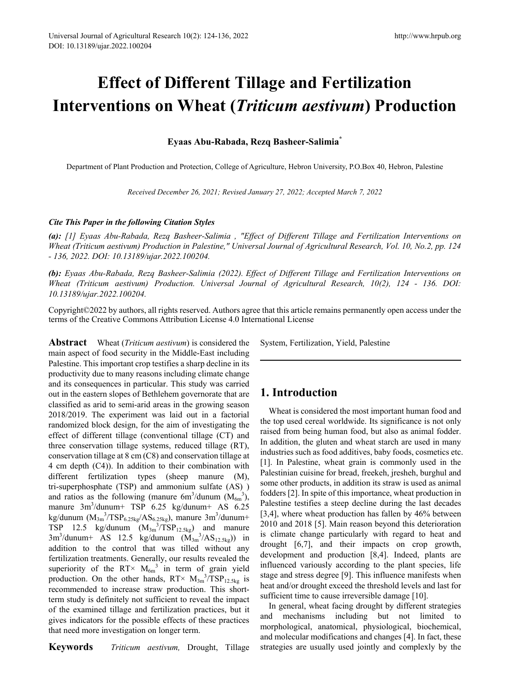# **Effect of Different Tillage and Fertilization Interventions on Wheat (***Triticum aestivum***) Production**

## **Eyaas Abu-Rabada, Rezq Basheer-Salimia\***

Department of Plant Production and Protection, College of Agriculture, Hebron University, P.O.Box 40, Hebron, Palestine

*Received December 26, 2021; Revised January 27, 2022; Accepted March 7, 2022* 

#### *Cite This Paper in the following Citation Styles*

*(a): [1] Eyaas Abu-Rabada, Rezq Basheer-Salimia , "Effect of Different Tillage and Fertilization Interventions on Wheat (Triticum aestivum) Production in Palestine," Universal Journal of Agricultural Research, Vol. 10, No.2, pp. 124 - 136, 2022. DOI: 10.13189/ujar.2022.100204.* 

*(b): Eyaas Abu-Rabada, Rezq Basheer-Salimia (2022). Effect of Different Tillage and Fertilization Interventions on Wheat (Triticum aestivum) Production. Universal Journal of Agricultural Research, 10(2), 124 - 136. DOI: 10.13189/ujar.2022.100204.* 

Copyright©2022 by authors, all rights reserved. Authors agree that this article remains permanently open access under the terms of the Creative Commons Attribution License 4.0 International License

**Abstract** Wheat (*Triticum aestivum*) is considered the main aspect of food security in the Middle-East including Palestine. This important crop testifies a sharp decline in its productivity due to many reasons including climate change and its consequences in particular. This study was carried out in the eastern slopes of Bethlehem governorate that are classified as arid to semi-arid areas in the growing season 2018/2019. The experiment was laid out in a factorial randomized block design, for the aim of investigating the effect of different tillage (conventional tillage (CT) and three conservation tillage systems, reduced tillage (RT), conservation tillage at 8 cm (C8) and conservation tillage at 4 cm depth (C4)). In addition to their combination with different fertilization types (sheep manure (M), tri-superphosphate (TSP) and ammonium sulfate (AS) ) and ratios as the following (manure  $6m^3/d$ unum  $(M_{6m}^3)$ , manure 3m3 /dunum+ TSP 6.25 kg/dunum+ AS 6.25 kg/dunum ( $M_{3m}^3/TSP_{6.25kg}/AS_{6.25kg}$ ), manure 3m<sup>3</sup>/dunum+ TSP 12.5 kg/dunum  $(M_{3m}^{3}/TSP_{12.5kg})$  and manure  $3m^3$ /dunum+ AS 12.5 kg/dunum  $(M_{3m}^{3/8}AS_{12.5kg})$  in addition to the control that was tilled without any fertilization treatments. Generally, our results revealed the superiority of the RT $\times$  M<sub>6m</sub><sup>3</sup> in term of grain yield production. On the other hands,  $RT \times M_{3m}^{3}/TSP_{12.5kg}$  is recommended to increase straw production. This shortterm study is definitely not sufficient to reveal the impact of the examined tillage and fertilization practices, but it gives indicators for the possible effects of these practices that need more investigation on longer term.

**Keywords** *Triticum aestivum,* Drought, Tillage

System, Fertilization, Yield, Palestine

## **1. Introduction**

Wheat is considered the most important human food and the top used cereal worldwide. Its significance is not only raised from being human food, but also as animal fodder. In addition, the gluten and wheat starch are used in many industries such as food additives, baby foods, cosmetics etc. [1]. In Palestine, wheat grain is commonly used in the Palestinian cuisine for bread, freekeh, jresheh, burghul and some other products, in addition its straw is used as animal fodders [2]. In spite of this importance, wheat production in Palestine testifies a steep decline during the last decades [3,4], where wheat production has fallen by 46% between 2010 and 2018 [5]. Main reason beyond this deterioration is climate change particularly with regard to heat and drought [6,7], and their impacts on crop growth, development and production [8,4]. Indeed, plants are influenced variously according to the plant species, life stage and stress degree [9]. This influence manifests when heat and/or drought exceed the threshold levels and last for sufficient time to cause irreversible damage [10].

In general, wheat facing drought by different strategies and mechanisms including but not limited to morphological, anatomical, physiological, biochemical, and molecular modifications and changes [4]. In fact, these strategies are usually used jointly and complexly by the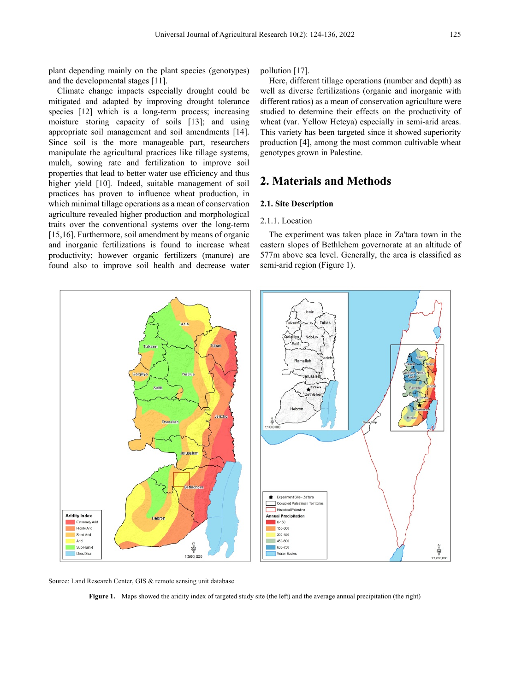plant depending mainly on the plant species (genotypes) and the developmental stages [11].

Climate change impacts especially drought could be mitigated and adapted by improving drought tolerance species [12] which is a long-term process; increasing moisture storing capacity of soils [13]; and using appropriate soil management and soil amendments [14]. Since soil is the more manageable part, researchers manipulate the agricultural practices like tillage systems, mulch, sowing rate and fertilization to improve soil properties that lead to better water use efficiency and thus higher yield [10]. Indeed, suitable management of soil practices has proven to influence wheat production, in which minimal tillage operations as a mean of conservation agriculture revealed higher production and morphological traits over the conventional systems over the long-term [15,16]. Furthermore, soil amendment by means of organic and inorganic fertilizations is found to increase wheat productivity; however organic fertilizers (manure) are found also to improve soil health and decrease water pollution [17].

Here, different tillage operations (number and depth) as well as diverse fertilizations (organic and inorganic with different ratios) as a mean of conservation agriculture were studied to determine their effects on the productivity of wheat (var. Yellow Heteya) especially in semi-arid areas. This variety has been targeted since it showed superiority production [4], among the most common cultivable wheat genotypes grown in Palestine.

# **2. Materials and Methods**

#### **2.1. Site Description**

#### 2.1.1. Location

The experiment was taken place in Za'tara town in the eastern slopes of Bethlehem governorate at an altitude of 577m above sea level. Generally, the area is classified as semi-arid region (Figure 1).



Source: Land Research Center, GIS & remote sensing unit database

**Figure 1.** Maps showed the aridity index of targeted study site (the left) and the average annual precipitation (the right)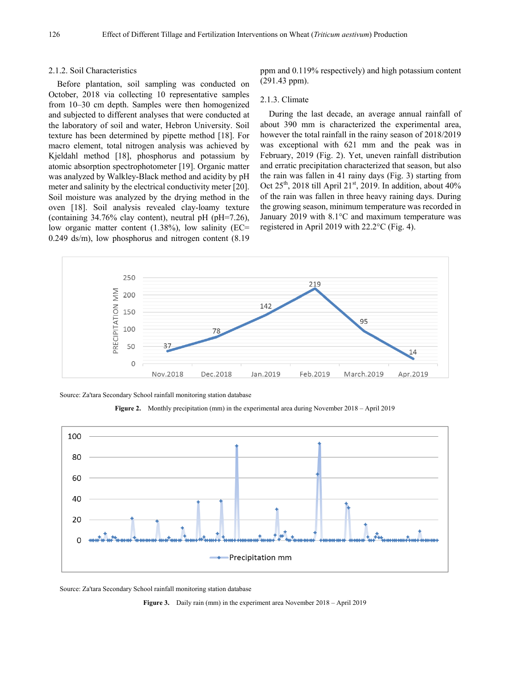#### 2.1.2. Soil Characteristics

Before plantation, soil sampling was conducted on October, 2018 via collecting 10 representative samples from 10–30 cm depth. Samples were then homogenized and subjected to different analyses that were conducted at the laboratory of soil and water, Hebron University. Soil texture has been determined by pipette method [18]. For macro element, total nitrogen analysis was achieved by Kjeldahl method [18], phosphorus and potassium by atomic absorption spectrophotometer [19]. Organic matter was analyzed by Walkley-Black method and acidity by pH meter and salinity by the electrical conductivity meter [20]. Soil moisture was analyzed by the drying method in the oven [18]. Soil analysis revealed clay-loamy texture (containing  $34.76\%$  clay content), neutral pH (pH=7.26), low organic matter content (1.38%), low salinity (EC= 0.249 ds/m), low phosphorus and nitrogen content (8.19

ppm and 0.119% respectively) and high potassium content (291.43 ppm).

#### 2.1.3. Climate

During the last decade, an average annual rainfall of about 390 mm is characterized the experimental area, however the total rainfall in the rainy season of 2018/2019 was exceptional with 621 mm and the peak was in February, 2019 (Fig. 2). Yet, uneven rainfall distribution and erratic precipitation characterized that season, but also the rain was fallen in 41 rainy days (Fig. 3) starting from Oct  $25<sup>th</sup>$ , 2018 till April  $21<sup>st</sup>$ , 2019. In addition, about 40% of the rain was fallen in three heavy raining days. During the growing season, minimum temperature was recorded in January 2019 with 8.1°C and maximum temperature was registered in April 2019 with 22.2°C (Fig. 4).



Source: Za'tara Secondary School rainfall monitoring station database





Source: Za'tara Secondary School rainfall monitoring station database

**Figure 3.** Daily rain (mm) in the experiment area November 2018 – April 2019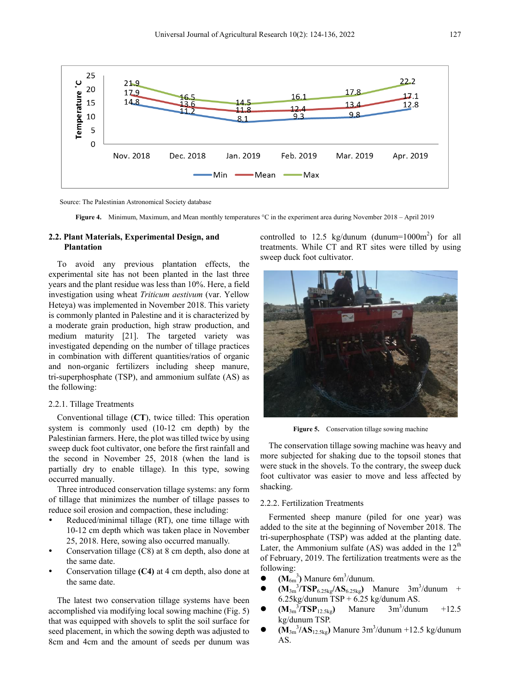

Source: The Palestinian Astronomical Society database

**Figure 4.** Minimum, Maximum, and Mean monthly temperatures °C in the experiment area during November 2018 – April 2019

#### **2.2. Plant Materials, Experimental Design, and Plantation**

To avoid any previous plantation effects, the experimental site has not been planted in the last three years and the plant residue was less than 10%. Here, a field investigation using wheat *Triticum aestivum* (var. Yellow Heteya) was implemented in November 2018. This variety is commonly planted in Palestine and it is characterized by a moderate grain production, high straw production, and medium maturity [21]. The targeted variety was investigated depending on the number of tillage practices in combination with different quantities/ratios of organic and non-organic fertilizers including sheep manure, tri-superphosphate (TSP), and ammonium sulfate (AS) as the following:

#### 2.2.1. Tillage Treatments

Conventional tillage (**CT**), twice tilled: This operation system is commonly used (10-12 cm depth) by the Palestinian farmers. Here, the plot was tilled twice by using sweep duck foot cultivator, one before the first rainfall and the second in November 25, 2018 (when the land is partially dry to enable tillage). In this type, sowing occurred manually.

Three introduced conservation tillage systems: any form of tillage that minimizes the number of tillage passes to reduce soil erosion and compaction, these including:

- Reduced/minimal tillage (RT), one time tillage with 10-12 cm depth which was taken place in November 25, 2018. Here, sowing also occurred manually.
- Conservation tillage (C8) at 8 cm depth, also done at the same date.
- Conservation tillage **(C4)** at 4 cm depth, also done at the same date.

The latest two conservation tillage systems have been accomplished via modifying local sowing machine (Fig. 5) that was equipped with shovels to split the soil surface for seed placement, in which the sowing depth was adjusted to 8cm and 4cm and the amount of seeds per dunum was

controlled to 12.5 kg/dunum (dunum= $1000m^2$ ) for all treatments. While CT and RT sites were tilled by using sweep duck foot cultivator.



Figure 5. Conservation tillage sowing machine

The conservation tillage sowing machine was heavy and more subjected for shaking due to the topsoil stones that were stuck in the shovels. To the contrary, the sweep duck foot cultivator was easier to move and less affected by shacking.

#### 2.2.2. Fertilization Treatments

Fermented sheep manure (piled for one year) was added to the site at the beginning of November 2018. The tri-superphosphate (TSP) was added at the planting date. Later, the Ammonium sulfate (AS) was added in the  $12<sup>th</sup>$ of February, 2019. The fertilization treatments were as the following:

- $\bullet$   $(\mathbf{M}_{6m}^3)$  Manure 6m<sup>3</sup>/dunum.
- $\bullet$   $(M_{3m}^{3}/TSP_{6.25kg}/AS_{6.25kg})$  Manure  $3m^{3}/d$ unum +  $6.25$ kg/dunum TSP +  $6.25$  kg/dunum AS.
- $\bullet$   $(M_{3m}^{3}/TSP_{12.5kg})$  Manure  $3m^{3}$  $3m<sup>3</sup>/dunum$  +12.5 kg/dunum TSP.
- $\bullet$   $(M_{3m}^{3}/AS_{12.5kg})$  Manure  $3m^{3}/du$ num +12.5 kg/dunum AS.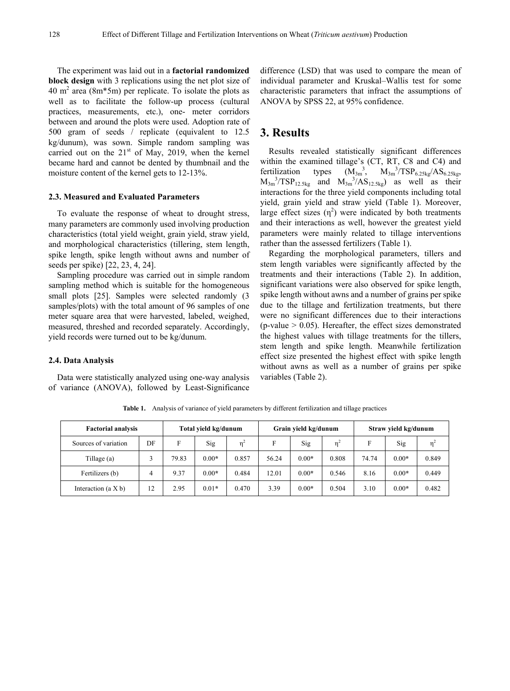The experiment was laid out in a **factorial randomized block design** with 3 replications using the net plot size of 40 m<sup>2</sup> area (8m<sup> $*$ 5m)</sup> per replicate. To isolate the plots as well as to facilitate the follow-up process (cultural practices, measurements, etc.), one- meter corridors between and around the plots were used. Adoption rate of 500 gram of seeds / replicate (equivalent to 12.5 kg/dunum), was sown. Simple random sampling was carried out on the  $21<sup>st</sup>$  of May, 2019, when the kernel became hard and cannot be dented by thumbnail and the moisture content of the kernel gets to 12-13%.

#### **2.3. Measured and Evaluated Parameters**

To evaluate the response of wheat to drought stress, many parameters are commonly used involving production characteristics (total yield weight, grain yield, straw yield, and morphological characteristics (tillering, stem length, spike length, spike length without awns and number of seeds per spike) [22, 23, 4, 24].

Sampling procedure was carried out in simple random sampling method which is suitable for the homogeneous small plots [25]. Samples were selected randomly (3 samples/plots) with the total amount of 96 samples of one meter square area that were harvested, labeled, weighed, measured, threshed and recorded separately. Accordingly, yield records were turned out to be kg/dunum.

#### **2.4. Data Analysis**

Data were statistically analyzed using one-way analysis of variance (ANOVA), followed by Least-Significance difference (LSD) that was used to compare the mean of individual parameter and Kruskal–Wallis test for some characteristic parameters that infract the assumptions of ANOVA by SPSS 22, at 95% confidence.

## **3. Results**

Results revealed statistically significant differences within the examined tillage's (CT, RT, C8 and C4) and fertilization types  $M_{3m}^{3}/TSP_{6.25kg}/AS_{6.25kg}$  $M_{3m}^{3}/TSP_{12.5kg}$  and  $M_{3m}^{3}/AS_{12.5kg}$  as well as their interactions for the three yield components including total yield, grain yield and straw yield (Table 1). Moreover, large effect sizes  $(\eta^2)$  were indicated by both treatments and their interactions as well, however the greatest yield parameters were mainly related to tillage interventions rather than the assessed fertilizers (Table 1).

Regarding the morphological parameters, tillers and stem length variables were significantly affected by the treatments and their interactions (Table 2). In addition, significant variations were also observed for spike length, spike length without awns and a number of grains per spike due to the tillage and fertilization treatments, but there were no significant differences due to their interactions (p-value  $> 0.05$ ). Hereafter, the effect sizes demonstrated the highest values with tillage treatments for the tillers, stem length and spike length. Meanwhile fertilization effect size presented the highest effect with spike length without awns as well as a number of grains per spike variables (Table 2).

| <b>Factorial analysis</b> | Total yield kg/dunum |       |         |                | Grain yield kg/dunum |         | Straw yield kg/dunum |       |         |          |
|---------------------------|----------------------|-------|---------|----------------|----------------------|---------|----------------------|-------|---------|----------|
| Sources of variation      | DF                   | F     | Sig     | n <sup>2</sup> | F                    | Sig     | $n^2$                | F     | Sig     | $\eta^2$ |
| Tillage (a)               |                      | 79.83 | $0.00*$ | 0.857          | 56.24                | $0.00*$ | 0.808                | 74.74 | $0.00*$ | 0.849    |
| Fertilizers (b)           | 4                    | 9.37  | $0.00*$ | 0.484          | 12.01                | $0.00*$ | 0.546                | 8.16  | $0.00*$ | 0.449    |
| Interaction $(a X b)$     | 12                   | 2.95  | $0.01*$ | 0.470          | 3.39                 | $0.00*$ | 0.504                | 3.10  | $0.00*$ | 0.482    |

**Table 1.** Analysis of variance of yield parameters by different fertilization and tillage practices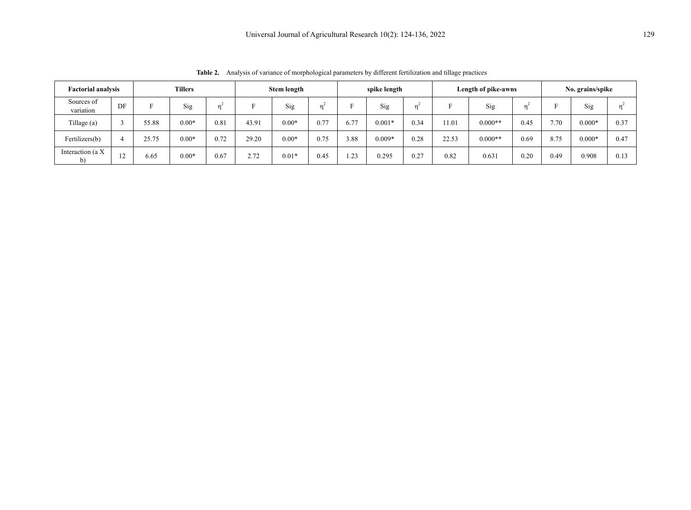| <b>Tillers</b><br><b>Factorial analysis</b> |    | Stem length |         | spike length |       |         | Length of pike-awns |      |          | No. grains/spike |       |           |      |      |          |      |
|---------------------------------------------|----|-------------|---------|--------------|-------|---------|---------------------|------|----------|------------------|-------|-----------|------|------|----------|------|
| Sources of<br>variation                     | DF |             | Sig     |              |       | Sig     | 'n                  |      | Sig      |                  |       | Sig       |      |      | Sig      |      |
| Tillage (a)                                 |    | 55.88       | $0.00*$ | 0.81         | 43.91 | $0.00*$ | 0.77                | 6.77 | $0.001*$ | 0.34             | 11.01 | $0.000**$ | 0.45 | 7.70 | $0.000*$ | 0.37 |
| Fertilizers(b)                              |    | 25.75       | $0.00*$ | 0.72         | 29.20 | $0.00*$ | 0.75                | 3.88 | $0.009*$ | 0.28             | 22.53 | $0.000**$ | 0.69 | 8.75 | $0.000*$ | 0.47 |
| Interaction (a X                            | 12 | 6.65        | $0.00*$ | 0.67         | 2.72  | $0.01*$ | 0.45                | 1.23 | 0.295    | 0.27             | 0.82  | 0.631     | 0.20 | 0.49 | 0.908    | 0.13 |

**Table 2.** Analysis of variance of morphological parameters by different fertilization and tillage practices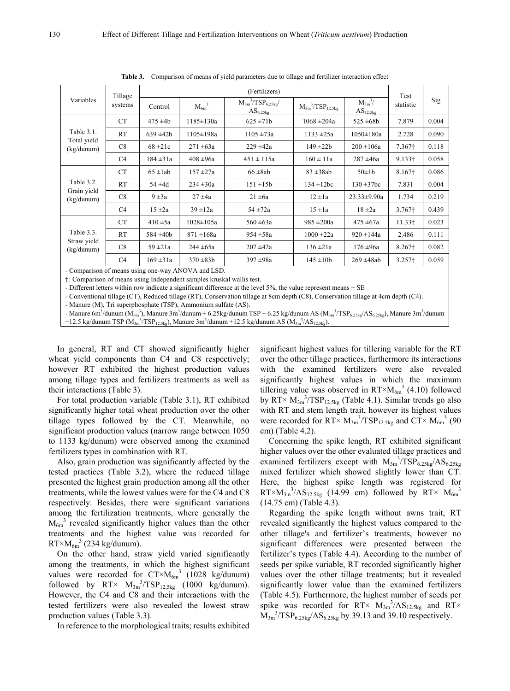| Variables                               | Tillage<br>systems |               | Test            |                                                                 |                           |                                 |                    |       |
|-----------------------------------------|--------------------|---------------|-----------------|-----------------------------------------------------------------|---------------------------|---------------------------------|--------------------|-------|
|                                         |                    | Control       | $M_{6m}^3$      | $\rm M_{3m}^{\phantom{3}}{}^{3}/TSP_{6.25kg}/$<br>$AS_{6.25kg}$ | $M_{3m}^{3}/TSP_{12.5kg}$ | $M_{3m}^{3/2}$<br>$AS_{12.5kg}$ | statistic          | Sig   |
| Table 3.1.<br>Total yield<br>(kg/dunum) | <b>CT</b>          | $475 \pm 4b$  | $1185 \pm 130a$ | $625 \pm 71b$                                                   | $1068 \pm 204a$           | $525 \pm 68b$                   | 7.879              | 0.004 |
|                                         | RT                 | $639 + 42b$   | $1105 \pm 198a$ | $1105 \pm 73a$                                                  | $1133 + 25a$              | $1050 \pm 180a$                 | 2.728              | 0.090 |
|                                         | C8                 | $68 = 21c$    | $271 \pm 63a$   | $229 + 42a$                                                     | $149 + 22b$               | $200 \pm 106a$                  | 7.367†             | 0.118 |
|                                         | C <sub>4</sub>     | $184 \pm 31a$ | $408 \pm 96a$   | $451 \pm 115a$                                                  | $160 \pm 11a$             | $287 + 46a$                     | $9.133 +$          | 0.058 |
| Table 3.2.<br>Grain yield<br>(kg/dunum) | <b>CT</b>          | $65 \pm 1ab$  | $157 \pm 27a$   | $66 \pm 8ab$                                                    | $83 \pm 38ab$             | $50\pm1$ b                      | 8.167†             | 0.086 |
|                                         | RT                 | $54 \pm 4d$   | $234 \pm 30a$   | $151 \pm 15b$                                                   | $134 \pm 12bc$            | $130 \pm 37$ bc                 | 7.831              | 0.004 |
|                                         | C8                 | $9 \pm 3a$    | $27 + 4a$       | $21 \pm 6a$                                                     | $12 \pm 1a$               | $23.33 \pm 9.90a$               | 1.734              | 0.219 |
|                                         | C <sub>4</sub>     | $15 \pm 2a$   | $39 \pm 12a$    | $54 \pm 72a$                                                    | $15 \pm 1a$               | $18 \pm 2a$                     | $3.767+$           | 0.439 |
| Table 3.3.<br>Straw yield<br>(kg/dunum) | <b>CT</b>          | $410 \pm 5a$  | $1028 \pm 105a$ | $560 \pm 63a$                                                   | $985 \pm 200a$            | $475 \pm 67a$                   | 11.33 <sup>†</sup> | 0.023 |
|                                         | RT                 | $584 \pm 40b$ | $871 \pm 168a$  | $954 \pm 58a$                                                   | $1000 \pm 22a$            | $920 \pm 144a$                  | 2.486              | 0.111 |
|                                         | C8                 | $59 \pm 21a$  | $244 \pm 65a$   | $207 \pm 42a$                                                   | $136 \pm 21a$             | $176 \pm 96a$                   | 8.267†             | 0.082 |
|                                         | C <sub>4</sub>     | $169 \pm 31a$ | $370 \pm 83b$   | $397 + 98a$                                                     | $145 \pm 10b$             | $269 \pm 48ab$                  | $3.257+$           | 0.059 |

**Table 3.** Comparison of means of yield parameters due to tillage and fertilizer interaction effect

- Comparison of means using one-way ANOVA and LSD.

†: Comparison of means using Independent samples kruskal wallis test.

- Different letters within row indicate a significant difference at the level 5%, the value represent means  $\pm$  SE

- Conventional tillage (CT), Reduced tillage (RT), Conservation tillage at 8cm depth (C8), Conservation tillage at 4cm depth (C4).

- Manure (M), Tri superphosphate (TSP), Ammonium sulfate (AS).

- Manure 6m<sup>3</sup>/dunum (M<sub>6m</sub>3), Manure 3m<sup>3</sup>/dunum + 6.25kg/dunum TSP + 6.25 kg/dunum AS (M<sub>3m</sub><sup>3</sup>/TSP<sub>6.25kg</sub>/AS<sub>6.25kg</sub>), Manure 3m<sup>3</sup>/dunum +12.5 kg/dunum TSP ( $M_{3m}^{3}/TSP_{12.5kg}$ ), Manure 3m<sup>3</sup>/dunum +12.5 kg/dunum AS ( $M_{3m}^{3}/AS_{12.5kg}$ ).

In general, RT and CT showed significantly higher wheat yield components than C4 and C8 respectively; however RT exhibited the highest production values among tillage types and fertilizers treatments as well as their interactions (Table 3).

For total production variable (Table 3.1), RT exhibited significantly higher total wheat production over the other tillage types followed by the CT. Meanwhile, no significant production values (narrow range between 1050 to 1133 kg/dunum) were observed among the examined fertilizers types in combination with RT.

Also, grain production was significantly affected by the tested practices (Table 3.2), where the reduced tillage presented the highest grain production among all the other treatments, while the lowest values were for the C4 and C8 respectively. Besides, there were significant variations among the fertilization treatments, where generally the  $M_{6m}$ <sup>3</sup> revealed significantly higher values than the other treatments and the highest value was recorded for  $RT \times M_{6m}^3$  (234 kg/dunum).

On the other hand, straw yield varied significantly among the treatments, in which the highest significant values were recorded for  $CT \times M_{6m}^{3}$  (1028 kg/dunum) followed by  $RT \times M_{3m}^{3} / TSP_{12.5kg}$  (1000 kg/dunum). However, the C4 and C8 and their interactions with the tested fertilizers were also revealed the lowest straw production values (Table 3.3).

In reference to the morphological traits; results exhibited

significant highest values for tillering variable for the RT over the other tillage practices, furthermore its interactions with the examined fertilizers were also revealed significantly highest values in which the maximum tillering value was observed in  $RT \times M_{6m}^3$  (4.10) followed by  $RT \times M_{3m}^{3}/TSP_{12.5kg}$  (Table 4.1). Similar trends go also with RT and stem length trait, however its highest values were recorded for  $RT \times M_{3m}^3 / TSP_{12.5kg}$  and  $CT \times M_{6m}^3$  (90 cm) (Table 4.2).

Concerning the spike length, RT exhibited significant higher values over the other evaluated tillage practices and examined fertilizers except with  $M_{3m}^{3} / TSP_{6.25kg} / AS_{6.25kg}$ mixed fertilizer which showed slightly lower than CT. Here, the highest spike length was registered for  $RT \times M_{3m}^3 / AS_{12.5kg}$  (14.99 cm) followed by  $RT \times M_{6m}^3$ (14.75 cm) (Table 4.3).

Regarding the spike length without awns trait, RT revealed significantly the highest values compared to the other tillage's and fertilizer's treatments, however no significant differences were presented between the fertilizer's types (Table 4.4). According to the number of seeds per spike variable, RT recorded significantly higher values over the other tillage treatments; but it revealed significantly lower value than the examined fertilizers (Table 4.5). Furthermore, the highest number of seeds per spike was recorded for RT ×  $M_{3m}^{3}/AS_{12.5kg}$  and RT ×  $M_{3m}^{3}/TSP_{6.25kg}/AS_{6.25kg}$  by 39.13 and 39.10 respectively.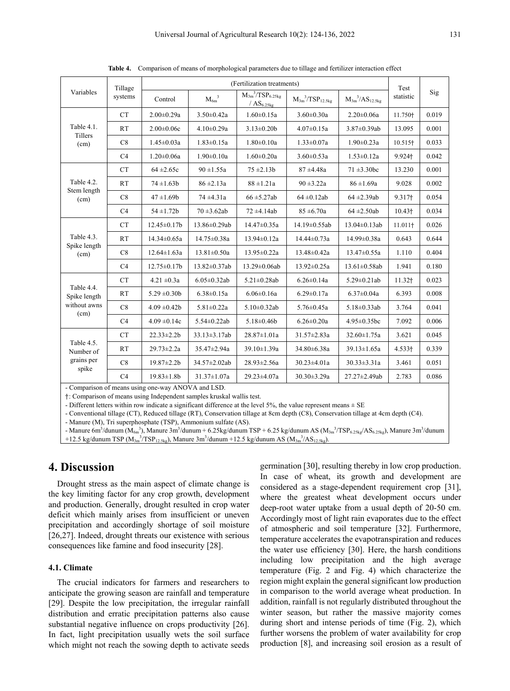| Variables                                      | Tillage<br>systems |                    | Test                |                                                                               |                           |                          |                     |       |
|------------------------------------------------|--------------------|--------------------|---------------------|-------------------------------------------------------------------------------|---------------------------|--------------------------|---------------------|-------|
|                                                |                    | Control            | $M_{6m}^3$          | $\overline{\mathrm{M_{3m}}^3}/\mathrm{TSP_{6.25kg}}$<br>/AS <sub>6.25kg</sub> | $M_{3m}^{3}/TSP_{12.5kg}$ | $M_{3m}^{3}/AS_{12.5kg}$ | statistic           | Sig   |
| Table 4.1.<br>Tillers<br>(cm)                  | <b>CT</b>          | $2.00 \pm 0.29a$   | $3.50 \pm 0.42a$    | $1.60 \pm 0.15a$                                                              | $3.60 \pm 0.30a$          | $2.20 \pm 0.06a$         | 11.750+             | 0.019 |
|                                                | <b>RT</b>          | $2.00 \pm 0.06c$   | $4.10 \pm 0.29a$    | $3.13 \pm 0.20$                                                               | $4.07 \pm 0.15a$          | $3.87 \pm 0.39$ ab       | 13.095              | 0.001 |
|                                                | C8                 | $1.45 \pm 0.03a$   | $1.83 \pm 0.15a$    | $1.80 \pm 0.10a$                                                              | $1.33 \pm 0.07a$          | $1.90 \pm 0.23a$         | 10.515+             | 0.033 |
|                                                | C <sub>4</sub>     | $1.20 \pm 0.06a$   | $1.90 \pm 0.10a$    | $1.60 \pm 0.20a$                                                              | $3.60 \pm 0.53a$          | $1.53 \pm 0.12a$         | 9.924+              | 0.042 |
|                                                | <b>CT</b>          | $64 + 2.65c$       | $90 \pm 1.55a$      | $75 \pm 2.13b$                                                                | $87 + 4.48a$              | $71 \pm 3.30$ bc         | 13.230              | 0.001 |
| Table 4.2.<br>Stem length<br>(cm)              | RT                 | $74 \pm 1.63b$     | $86 \pm 2.13a$      | $88 \pm 1.21a$                                                                | $90 \pm 3.22a$            | $86 \pm 1.69a$           | 9.028               | 0.002 |
|                                                | C8                 | $47 \pm 1.69$      | $74 \pm 4.31a$      | $66 \pm 5.27ab$                                                               | $64 \pm 0.12$ ab          | $64 \pm 2.39ab$          | 9.317+              | 0.054 |
|                                                | C <sub>4</sub>     | $54 \pm 1.72b$     | $70 \pm 3.62ab$     | $72 \pm 4.14ab$                                                               | $85 \pm 6.70a$            | $64 \pm 2.50$ ab         | $10.43+$            | 0.034 |
| Table 4.3.<br>Spike length<br>(cm)             | <b>CT</b>          | $12.45 \pm 0.17$ b | 13.86±0.29ab        | 14.47±0.35a                                                                   | 14.19±0.55ab              | $13.04 \pm 0.13$ ab      | 11.011 <sup>†</sup> | 0.026 |
|                                                | RT                 | $14.34 \pm 0.65a$  | $14.75 \pm 0.38a$   | 13.94±0.12a                                                                   | $14.44 \pm 0.73a$         | 14.99±0.38a              | 0.643               | 0.644 |
|                                                | C8                 | $12.64 \pm 1.63a$  | $13.81 \pm 0.50a$   | 13.95±0.22a                                                                   | 13.48±0.42a               | $13.47 \pm 0.55a$        | 1.110               | 0.404 |
|                                                | C <sub>4</sub>     | $12.75 \pm 0.17$ b | $13.82 \pm 0.37$ ab | 13.29±0.06ab                                                                  | $13.92 \pm 0.25a$         | $13.61 \pm 0.58$ ab      | 1.941               | 0.180 |
|                                                | <b>CT</b>          | $4.21 \pm 0.3a$    | $6.05 \pm 0.32$ ab  | $5.21 \pm 0.28$ ab                                                            | $6.26 \pm 0.14a$          | $5.29 \pm 0.21$ ab       | $11.32 +$           | 0.023 |
| Table 4.4.<br>Spike length                     | RT                 | $5.29 \pm 0.30b$   | $6.38 \pm 0.15a$    | $6.06 \pm 0.16a$                                                              | $6.29 \pm 0.17a$          | $6.37 \pm 0.04a$         | 6.393               | 0.008 |
| without awns                                   | C8                 | $4.09 \pm 0.42$    | $5.81 \pm 0.22a$    | $5.10 \pm 0.32$ ab                                                            | $5.76 \pm 0.45a$          | $5.18 \pm 0.33$ ab       | 3.764               | 0.041 |
| (cm)                                           | C <sub>4</sub>     | $4.09 \pm 0.14c$   | $5.54 \pm 0.22$ ab  | $5.18 \pm 0.46$                                                               | $6.26 \pm 0.20a$          | $4.95 \pm 0.35$ bc       | 7.092               | 0.006 |
| Table 4.5.<br>Number of<br>grains per<br>spike | <b>CT</b>          | $22.33 \pm 2.2b$   | $33.13 \pm 3.17$ ab | $28.87 \pm 1.01a$                                                             | $31.57 \pm 2.83a$         | $32.60 \pm 1.75a$        | 3.621               | 0.045 |
|                                                | <b>RT</b>          | $29.73 \pm 2.2a$   | $35.47 \pm 2.94a$   | 39.10±1.39a                                                                   | 34.80±6.38a               | $39.13 \pm 1.65a$        | 4.533+              | 0.339 |
|                                                | C8                 | $19.87 \pm 2.2b$   | 34.57±2.02ab        | $28.93 \pm 2.56a$                                                             | $30.23 \pm 4.01a$         | $30.33 \pm 3.31a$        | 3.461               | 0.051 |
|                                                | C <sub>4</sub>     | $19.83 \pm 1.8b$   | $31.37 \pm 1.07a$   | 29.23±4.07a                                                                   | 30.30±3.29a               | 27.27±2.49ab             | 2.783               | 0.086 |

**Table 4.** Comparison of means of morphological parameters due to tillage and fertilizer interaction effect

- Comparison of means using one-way ANOVA and LSD.

†: Comparison of means using Independent samples kruskal wallis test.

- Different letters within row indicate a significant difference at the level 5%, the value represent means  $\pm$  SE

- Conventional tillage (CT), Reduced tillage (RT), Conservation tillage at 8cm depth (C8), Conservation tillage at 4cm depth (C4).

- Manure (M), Tri superphosphate (TSP), Ammonium sulfate (AS).

- Manure 6m<sup>3</sup>/dunum (M<sub>6m</sub>3), Manure 3m<sup>3</sup>/dunum + 6.25kg/dunum TSP + 6.25 kg/dunum AS (M<sub>3m</sub><sup>3</sup>/TSP<sub>6.25kg</sub>/AS<sub>6.25kg</sub>), Manure 3m<sup>3</sup>/dunum +12.5 kg/dunum TSP ( $M_{3m}^{3}$ /TSP<sub>12.5kg</sub>), Manure 3m<sup>3</sup>/dunum +12.5 kg/dunum AS ( $M_{3m}^{3}$ /AS<sub>12.5kg</sub>).

## **4. Discussion**

Drought stress as the main aspect of climate change is the key limiting factor for any crop growth, development and production. Generally, drought resulted in crop water deficit which mainly arises from insufficient or uneven precipitation and accordingly shortage of soil moisture [26,27]. Indeed, drought threats our existence with serious consequences like famine and food insecurity [28].

### **4.1. Climate**

The crucial indicators for farmers and researchers to anticipate the growing season are rainfall and temperature [29]. Despite the low precipitation, the irregular rainfall distribution and erratic precipitation patterns also cause substantial negative influence on crops productivity [26]. In fact, light precipitation usually wets the soil surface which might not reach the sowing depth to activate seeds germination [30], resulting thereby in low crop production. In case of wheat, its growth and development are considered as a stage-dependent requirement crop [31], where the greatest wheat development occurs under deep-root water uptake from a usual depth of 20-50 cm. Accordingly most of light rain evaporates due to the effect of atmospheric and soil temperature [32]. Furthermore, temperature accelerates the evapotranspiration and reduces the water use efficiency [30]. Here, the harsh conditions including low precipitation and the high average temperature (Fig. 2 and Fig. 4) which characterize the region might explain the general significant low production in comparison to the world average wheat production. In addition, rainfall is not regularly distributed throughout the winter season, but rather the massive majority comes during short and intense periods of time (Fig. 2), which further worsens the problem of water availability for crop production [8], and increasing soil erosion as a result of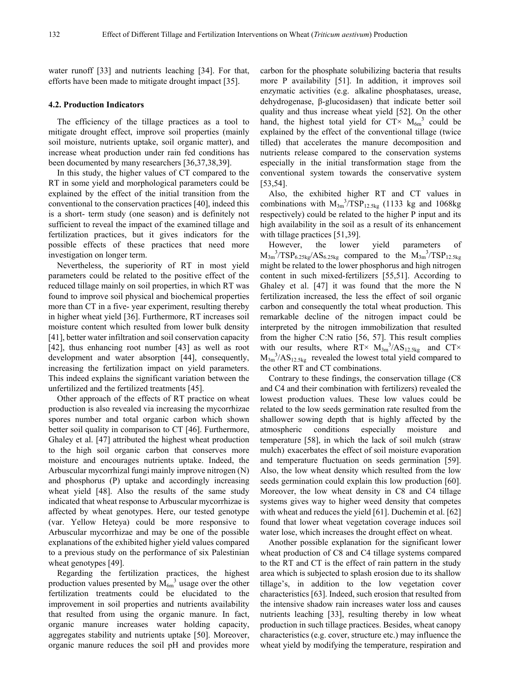water runoff [33] and nutrients leaching [34]. For that, efforts have been made to mitigate drought impact [35].

#### **4.2. Production Indicators**

The efficiency of the tillage practices as a tool to mitigate drought effect, improve soil properties (mainly soil moisture, nutrients uptake, soil organic matter), and increase wheat production under rain fed conditions has been documented by many researchers [36,37,38,39].

In this study, the higher values of CT compared to the RT in some yield and morphological parameters could be explained by the effect of the initial transition from the conventional to the conservation practices [40], indeed this is a short- term study (one season) and is definitely not sufficient to reveal the impact of the examined tillage and fertilization practices, but it gives indicators for the possible effects of these practices that need more investigation on longer term.

Nevertheless, the superiority of RT in most yield parameters could be related to the positive effect of the reduced tillage mainly on soil properties, in which RT was found to improve soil physical and biochemical properties more than CT in a five- year experiment, resulting thereby in higher wheat yield [36]. Furthermore, RT increases soil moisture content which resulted from lower bulk density [41], better water infiltration and soil conservation capacity [42], thus enhancing root number [43] as well as root development and water absorption [44], consequently, increasing the fertilization impact on yield parameters. This indeed explains the significant variation between the unfertilized and the fertilized treatments [45].

Other approach of the effects of RT practice on wheat production is also revealed via increasing the mycorrhizae spores number and total organic carbon which shown better soil quality in comparison to CT [46]. Furthermore, Ghaley et al. [47] attributed the highest wheat production to the high soil organic carbon that conserves more moisture and encourages nutrients uptake. Indeed, the Arbuscular mycorrhizal fungi mainly improve nitrogen (N) and phosphorus (P) uptake and accordingly increasing wheat yield [48]. Also the results of the same study indicated that wheat response to Arbuscular mycorrhizae is affected by wheat genotypes. Here, our tested genotype (var. Yellow Heteya) could be more responsive to Arbuscular mycorrhizae and may be one of the possible explanations of the exhibited higher yield values compared to a previous study on the performance of six Palestinian wheat genotypes [49].

Regarding the fertilization practices, the highest production values presented by  $M_{6m}^{3}$  usage over the other fertilization treatments could be elucidated to the improvement in soil properties and nutrients availability that resulted from using the organic manure. In fact, organic manure increases water holding capacity, aggregates stability and nutrients uptake [50]. Moreover, organic manure reduces the soil pH and provides more carbon for the phosphate solubilizing bacteria that results more P availability [51]. In addition, it improves soil enzymatic activities (e.g. alkaline phosphatases, urease, dehydrogenase, β-glucosidasen) that indicate better soil quality and thus increase wheat yield [52]. On the other hand, the highest total yield for  $CT \times M_{6m}^3$  could be explained by the effect of the conventional tillage (twice tilled) that accelerates the manure decomposition and nutrients release compared to the conservation systems especially in the initial transformation stage from the conventional system towards the conservative system [53,54].

Also, the exhibited higher RT and CT values in combinations with  $M_{3m}^{3}/TSP_{12.5kg}$  (1133 kg and 1068kg respectively) could be related to the higher P input and its high availability in the soil as a result of its enhancement with tillage practices [51,39].

However, the lower yield parameters of  $M_{3m}^{3}/TSP_{6.25kg}/AS_{6.25kg}$  compared to the  $M_{3m}^{3}/TSP_{12.5kg}$ might be related to the lower phosphorus and high nitrogen content in such mixed-fertilizers [55,51]. According to Ghaley et al. [47] it was found that the more the N fertilization increased, the less the effect of soil organic carbon and consequently the total wheat production. This remarkable decline of the nitrogen impact could be interpreted by the nitrogen immobilization that resulted from the higher C:N ratio [56, 57]. This result complies with our results, where  $RT \times M_{3m}^3 / AS_{12.5kg}$  and  $CT \times$  $M_{3m}^{3}/AS_{12.5kg}$  revealed the lowest total yield compared to the other RT and CT combinations.

Contrary to these findings, the conservation tillage (C8 and C4 and their combination with fertilizers) revealed the lowest production values. These low values could be related to the low seeds germination rate resulted from the shallower sowing depth that is highly affected by the atmospheric conditions especially moisture and temperature [58], in which the lack of soil mulch (straw mulch) exacerbates the effect of soil moisture evaporation and temperature fluctuation on seeds germination [59]. Also, the low wheat density which resulted from the low seeds germination could explain this low production [60]. Moreover, the low wheat density in C8 and C4 tillage systems gives way to higher weed density that competes with wheat and reduces the yield [61]. Duchemin et al. [62] found that lower wheat vegetation coverage induces soil water lose, which increases the drought effect on wheat.

Another possible explanation for the significant lower wheat production of C8 and C4 tillage systems compared to the RT and CT is the effect of rain pattern in the study area which is subjected to splash erosion due to its shallow tillage's, in addition to the low vegetation cover characteristics [63]. Indeed, such erosion that resulted from the intensive shadow rain increases water loss and causes nutrients leaching [33], resulting thereby in low wheat production in such tillage practices. Besides, wheat canopy characteristics (e.g. cover, structure etc.) may influence the wheat yield by modifying the temperature, respiration and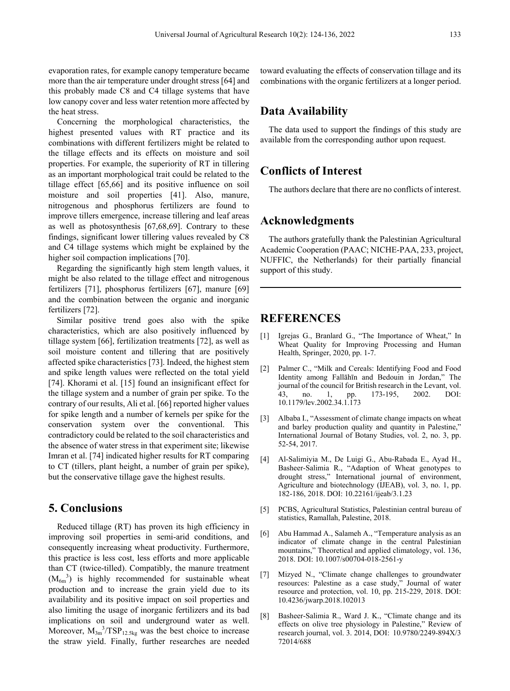evaporation rates, for example canopy temperature became more than the air temperature under drought stress [64] and this probably made C8 and C4 tillage systems that have low canopy cover and less water retention more affected by the heat stress.

Concerning the morphological characteristics, the highest presented values with RT practice and its combinations with different fertilizers might be related to the tillage effects and its effects on moisture and soil properties. For example, the superiority of RT in tillering as an important morphological trait could be related to the tillage effect [65,66] and its positive influence on soil moisture and soil properties [41]. Also, manure, nitrogenous and phosphorus fertilizers are found to improve tillers emergence, increase tillering and leaf areas as well as photosynthesis [67,68,69]. Contrary to these findings, significant lower tillering values revealed by C8 and C4 tillage systems which might be explained by the higher soil compaction implications [70].

Regarding the significantly high stem length values, it might be also related to the tillage effect and nitrogenous fertilizers [71], phosphorus fertilizers [67], manure [69] and the combination between the organic and inorganic fertilizers [72].

Similar positive trend goes also with the spike characteristics, which are also positively influenced by tillage system [66], fertilization treatments [72], as well as soil moisture content and tillering that are positively affected spike characteristics [73]. Indeed, the highest stem and spike length values were reflected on the total yield [74]. Khorami et al. [15] found an insignificant effect for the tillage system and a number of grain per spike. To the contrary of our results, Ali et al. [66] reported higher values for spike length and a number of kernels per spike for the conservation system over the conventional. This contradictory could be related to the soil characteristics and the absence of water stress in that experiment site; likewise Imran et al. [74] indicated higher results for RT comparing to CT (tillers, plant height, a number of grain per spike), but the conservative tillage gave the highest results.

## **5. Conclusions**

Reduced tillage (RT) has proven its high efficiency in improving soil properties in semi-arid conditions, and consequently increasing wheat productivity. Furthermore, this practice is less cost, less efforts and more applicable than CT (twice-tilled). Compatibly, the manure treatment  $(M_{6m}^3)$  is highly recommended for sustainable wheat production and to increase the grain yield due to its availability and its positive impact on soil properties and also limiting the usage of inorganic fertilizers and its bad implications on soil and underground water as well. Moreover,  $M_{3m}^{3}/TSP_{12.5kg}$  was the best choice to increase the straw yield. Finally, further researches are needed toward evaluating the effects of conservation tillage and its combinations with the organic fertilizers at a longer period.

## **Data Availability**

The data used to support the findings of this study are available from the corresponding author upon request.

# **Conflicts of Interest**

The authors declare that there are no conflicts of interest.

## **Acknowledgments**

The authors gratefully thank the Palestinian Agricultural Academic Cooperation (PAAC; NICHE-PAA, 233, project, NUFFIC, the Netherlands) for their partially financial support of this study.

## **REFERENCES**

- [1] Igrejas G., Branlard G., "The Importance of Wheat," In Wheat Quality for Improving Processing and Human Health, Springer, 2020, pp. 1-7.
- [2] Palmer C., "Milk and Cereals: Identifying Food and Food Identity among Fallāhīn and Bedouin in Jordan," The journal of the council for British research in the Levant, vol. no. 1, pp. 173-195, 2002. DOI: 10.1179/lev.2002.34.1.173
- [3] Albaba I., "Assessment of climate change impacts on wheat and barley production quality and quantity in Palestine," International Journal of Botany Studies, vol. 2, no. 3, pp. 52-54, 2017.
- [4] Al-Salimiyia M., De Luigi G., Abu-Rabada E., Ayad H., Basheer-Salimia R., "Adaption of Wheat genotypes to drought stress," International journal of environment, Agriculture and biotechnology (IJEAB), vol. 3, no. 1, pp. 182-186, 2018. DOI: 10.22161/ijeab/3.1.23
- [5] PCBS, Agricultural Statistics, Palestinian central bureau of statistics, Ramallah, Palestine, 2018.
- [6] Abu Hammad A., Salameh A., "Temperature analysis as an indicator of climate change in the central Palestinian mountains," Theoretical and applied climatology, vol. 136, 2018. DOI: 10.1007/s00704-018-2561-y
- [7] Mizyed N., "Climate change challenges to groundwater resources: Palestine as a case study," Journal of water resource and protection, vol. 10, pp. 215-229, 2018. DOI: 10.4236/jwarp.2018.102013
- [8] Basheer-Salimia R., Ward J. K., "Climate change and its effects on olive tree physiology in Palestine," Review of research journal, vol. 3. 2014, DOI: 10.9780/2249-894X/3 72014/688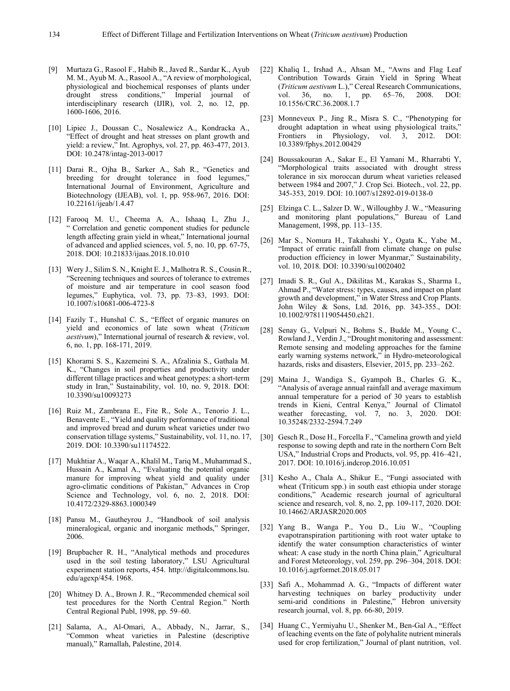- [9] Murtaza G., Rasool F., Habib R., Javed R., Sardar K., Ayub M. M., Ayub M. A., Rasool A., "A review of morphological, physiological and biochemical responses of plants under drought stress conditions," Imperial journal of interdisciplinary research (IJIR), vol. 2, no. 12, pp. 1600-1606, 2016.
- [10] Lipiec J., Doussan C., Nosalewicz A., Kondracka A., "Effect of drought and heat stresses on plant growth and yield: a review," Int. Agrophys, vol. 27, pp. 463-477, 2013. DOI: 10.2478/intag-2013-0017
- [11] Darai R., Ojha B., Sarker A., Sah R., "Genetics and breeding for drought tolerance in food legumes," International Journal of Environment, Agriculture and Biotechnology (IJEAB), vol. 1, pp. 958-967, 2016. DOI: 10.22161/ijeab/1.4.47
- [12] Farooq M. U., Cheema A. A., Ishaaq I., Zhu J., " Correlation and genetic component studies for peduncle length affecting grain yield in wheat," International journal of advanced and applied sciences, vol. 5, no. 10, pp. 67-75, 2018. DOI: 10.21833/ijaas.2018.10.010
- [13] Wery J., Silim S. N., Knight E. J., Malhotra R. S., Cousin R., "Screening techniques and sources of tolerance to extremes of moisture and air temperature in cool season food legumes," Euphytica, vol. 73, pp. 73–83, 1993. DOI: 10.1007/s10681-006-4723-8
- [14] Fazily T., Hunshal C. S., "Effect of organic manures on yield and economics of late sown wheat (*Triticum aestivum*)," International journal of research & review, vol. 6, no. 1, pp. 168-171, 2019.
- [15] Khorami S. S., Kazemeini S. A., Afzalinia S., Gathala M. K., "Changes in soil properties and productivity under different tillage practices and wheat genotypes: a short-term study in Iran," Sustainability, vol. 10, no. 9, 2018. DOI: 10.3390/su10093273
- [16] Ruiz M., Zambrana E., Fite R., Sole A., Tenorio J. L., Benavente E., "Yield and quality performance of traditional and improved bread and durum wheat varieties under two conservation tillage systems," Sustainability, vol. 11, no. 17, 2019. DOI: 10.3390/su11174522.
- [17] Mukhtiar A., Waqar A., Khalil M., Tariq M., Muhammad S., Hussain A., Kamal A., "Evaluating the potential organic manure for improving wheat yield and quality under agro-climatic conditions of Pakistan," Advances in Crop Science and Technology, vol. 6, no. 2, 2018. DOI: 10.4172/2329-8863.1000349
- [18] Pansu M., Gautheyrou J., "Handbook of soil analysis mineralogical, organic and inorganic methods," Springer, 2006.
- [19] Brupbacher R. H., "Analytical methods and procedures used in the soil testing laboratory," LSU Agricultural experiment station reports, 454. http://digitalcommons.lsu. edu/agexp/454. 1968.
- [20] Whitney D. A., Brown J. R., "Recommended chemical soil test procedures for the North Central Region." North Central Regional Publ, 1998, pp. 59–60.
- [21] Salama, A., Al-Omari, A., Abbady, N., Jarrar, S., "Common wheat varieties in Palestine (descriptive manual)," Ramallah, Palestine, 2014.
- [22] Khaliq I., Irshad A., Ahsan M., "Awns and Flag Leaf Contribution Towards Grain Yield in Spring Wheat (*Triticum aestivum* L.)," Cereal Research Communications, vol. 36, no. 1, pp. 65–76, 2008. DOI: vol. 36, no. 1, pp. 65–76, 10.1556/CRC.36.2008.1.7
- [23] Monneveux P., Jing R., Misra S. C., "Phenotyping for drought adaptation in wheat using physiological traits," Frontiers in Physiology, vol. 3, 2012. DOI: 10.3389/fphys.2012.00429
- [24] Boussakouran A., Sakar E., El Yamani M., Rharrabti Y, "Morphological traits associated with drought stress tolerance in six moroccan durum wheat varieties released between 1984 and 2007," J. Crop Sci. Biotech., vol. 22, pp. 345-353, 2019. DOI: 10.1007/s12892-019-0138-0
- [25] Elzinga C. L., Salzer D. W., Willoughby J. W., "Measuring and monitoring plant populations," Bureau of Land Management, 1998, pp. 113–135.
- [26] Mar S., Nomura H., Takahashi Y., Ogata K., Yabe M., "Impact of erratic rainfall from climate change on pulse production efficiency in lower Myanmar," Sustainability, vol. 10, 2018. DOI: 10.3390/su10020402
- [27] Imadi S. R., Gul A., Dikilitas M., Karakas S., Sharma I., Ahmad P., "Water stress: types, causes, and impact on plant growth and development," in Water Stress and Crop Plants. John Wiley & Sons, Ltd. 2016, pp. 343-355., DOI: 10.1002/9781119054450.ch21.
- [28] Senay G., Velpuri N., Bohms S., Budde M., Young C., Rowland J., Verdin J., "Drought monitoring and assessment: Remote sensing and modeling approaches for the famine early warning systems network," in Hydro-meteorological hazards, risks and disasters, Elsevier, 2015, pp. 233–262.
- [29] Maina J., Wandiga S., Gyampoh B., Charles G. K., "Analysis of average annual rainfall and average maximum annual temperature for a period of 30 years to establish trends in Kieni, Central Kenya," Journal of Climatol weather forecasting, vol. 7, no. 3, 2020. DOI: 10.35248/2332-2594.7.249
- [30] Gesch R., Dose H., Forcella F., "Camelina growth and yield response to sowing depth and rate in the northern Corn Belt USA," Industrial Crops and Products, vol. 95, pp. 416–421, 2017. DOI: 10.1016/j.indcrop.2016.10.051
- [31] Kesho A., Chala A., Shikur E., "Fungi associated with wheat (Triticum spp.) in south east ethiopia under storage conditions," Academic research journal of agricultural science and research, vol. 8, no. 2, pp. 109-117, 2020. DOI: 10.14662/ARJASR2020.005
- [32] Yang B., Wanga P., You D., Liu W., "Coupling evapotranspiration partitioning with root water uptake to identify the water consumption characteristics of winter wheat: A case study in the north China plain," Agricultural and Forest Meteorology, vol. 259, pp. 296–304, 2018. DOI: 10.1016/j.agrformet.2018.05.017
- [33] Safi A., Mohammad A. G., "Impacts of different water harvesting techniques on barley productivity under semi-arid conditions in Palestine," Hebron university research journal, vol. 8, pp. 66-80, 2019.
- [34] Huang C., Yermiyahu U., Shenker M., Ben-Gal A., "Effect of leaching events on the fate of polyhalite nutrient minerals used for crop fertilization," Journal of plant nutrition, vol.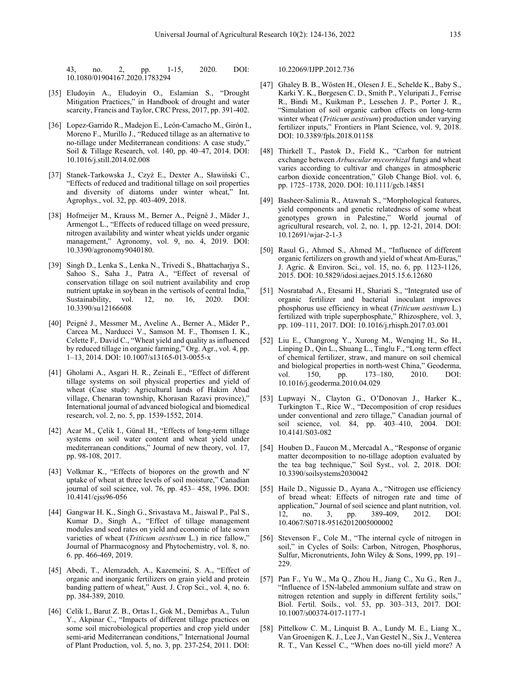43, no. 2, pp. 1-15, 2020. DOI: 10.1080/01904167.2020.1783294

- [35] Eludoyin A., Eludoyin O., Eslamian S., "Drought Mitigation Practices," in Handbook of drought and water scarcity, Francis and Taylor, CRC Press, 2017, pp. 391-402.
- [36] Lopez-Garrido R., Madejon E., León-Camacho M., Girón I., Moreno F., Murillo J., "Reduced tillage as an alternative to no-tillage under Mediterranean conditions: A case study," Soil & Tillage Research, vol. 140, pp. 40–47, 2014. DOI: 10.1016/j.still.2014.02.008
- [37] Stanek-Tarkowska J., Czyż E., Dexter A., Sławiński C., "Effects of reduced and traditional tillage on soil properties and diversity of diatoms under winter wheat," Int. Agrophys., vol. 32, pp. 403-409, 2018.
- [38] Hofmeijer M., Krauss M., Berner A., Peigné J., Mäder J., Armengot L., "Effects of reduced tillage on weed pressure, nitrogen availability and winter wheat yields under organic management," Agronomy, vol. 9, no. 4, 2019. DOI: 10.3390/agronomy9040180.
- [39] Singh D., Lenka S., Lenka N., Trivedi S., Bhattacharjya S., Sahoo S., Saha J., Patra A., "Effect of reversal of conservation tillage on soil nutrient availability and crop nutrient uptake in soybean in the vertisols of central India,"<br>Sustainability, vol. 12, no. 16, 2020. DOI: Sustainability, 10.3390/su12166608
- [40] Peigné J., Messmer M., Aveline A., Berner A., Mäder P., Carcea M., Narducci V., Samson M. F., Thomsen I. K., Celette F,. David C., "Wheat yield and quality as influenced by reduced tillage in organic farming," Org. Agr., vol. 4, pp. 1–13, 2014. DOI: 10.1007/s13165-013-0055-x
- [41] Gholami A., Asgari H. R., Zeinali E., "Effect of different tillage systems on soil physical properties and yield of wheat (Case study: Agricultural lands of Hakim Abad village, Chenaran township, Khorasan Razavi province)," International journal of advanced biological and biomedical research, vol. 2, no. 5, pp. 1539-1552, 2014.
- [42] Acar M., Çelik I., Günal H., "Effects of long-term tillage systems on soil water content and wheat yield under mediterranean conditions," Journal of new theory, vol. 17, pp. 98-108, 2017.
- [43] Volkmar K., "Effects of biopores on the growth and N' uptake of wheat at three levels of soil moisture," Canadian journal of soil science, vol. 76, pp. 453– 458, 1996. DOI: 10.4141/cjss96-056
- [44] Gangwar H. K., Singh G., Srivastava M., Jaiswal P., Pal S., Kumar D., Singh A., "Effect of tillage management modules and seed rates on yield and economic of late sown varieties of wheat (*Triticum aestivum* L.) in rice fallow," Journal of Pharmacognosy and Phytochemistry, vol. 8, no. 6. pp. 466-469, 2019.
- [45] Abedi, T., Alemzadeh, A., Kazemeini, S. A., "Effect of organic and inorganic fertilizers on grain yield and protein banding pattern of wheat," Aust. J. Crop Sci., vol. 4, no. 6. pp. 384-389, 2010.
- [46] Celik I., Barut Z. B., Ortas I., Gok M., Demirbas A., Tulun Y., Akpinar C., "Impacts of different tillage practices on some soil microbiological properties and crop yield under semi-arid Mediterranean conditions," International Journal of Plant Production, vol. 5, no. 3, pp. 237-254, 2011. DOI:

10.22069/IJPP.2012.736

- [47] Ghaley B. B., Wösten H., Olesen J. E., Schelde K., Baby S., Karki Y. K., Børgesen C. D., Smith P., Yeluripati J., Ferrise R., Bindi M., Kuikman P., Lesschen J. P., Porter J. R., "Simulation of soil organic carbon effects on long-term winter wheat (*Triticum aestivum*) production under varying fertilizer inputs," Frontiers in Plant Science, vol. 9, 2018. DOI: 10.3389/fpls.2018.01158
- [48] Thirkell T., Pastok D., Field K., "Carbon for nutrient exchange between *Arbuscular mycorrhizal* fungi and wheat varies according to cultivar and changes in atmospheric carbon dioxide concentration," Glob Change Biol. vol. 6, pp. 1725–1738, 2020. DOI: 10.1111/gcb.14851
- [49] Basheer-Salimia R., Atawnah S., "Morphological features, yield components and genetic relatedness of some wheat genotypes grown in Palestine," World journal of agricultural research, vol. 2, no. 1, pp. 12-21, 2014. DOI: 10.12691/wjar-2-1-3
- [50] Rasul G., Ahmed S., Ahmed M., "Influence of different organic fertilizers on growth and yield of wheat Am-Euras," J. Agric. & Environ. Sci., vol. 15, no. 6, pp. 1123-1126, 2015. DOI: 10.5829/idosi.aejaes.2015.15.6.12680
- [51] Nosratabad A., Etesami H., Shariati S., "Integrated use of organic fertilizer and bacterial inoculant improves phosphorus use efficiency in wheat (*Triticum aestivum* L.) fertilized with triple superphosphate," Rhizosphere, vol. 3, pp. 109–111, 2017. DOI: 10.1016/j.rhisph.2017.03.001
- [52] Liu E., Changrong Y., Xurong M., Wenqing H., So H., Linping D., Qin L., Shuang L., Tinglu F., "Long term effect of chemical fertilizer, straw, and manure on soil chemical and biological properties in north-west China," Geoderma, vol. 150, pp. 173–180, 2010. DOI: vol. 150, pp. 173–180, 2010. DOI: 10.1016/j.geoderma.2010.04.029
- [53] Lupwayi N., Clayton G., O'Donovan J., Harker K., Turkington T., Rice W., "Decomposition of crop residues under conventional and zero tillage," Canadian journal of soil science, vol. 84, pp. 403–410, 2004. DOI: 10.4141/S03-082
- [54] Houben D., Faucon M., Mercadal A., "Response of organic matter decomposition to no-tillage adoption evaluated by the tea bag technique," Soil Syst., vol. 2, 2018. DOI: 10.3390/soilsystems2030042
- [55] Haile D., Nigussie D., Ayana A., "Nitrogen use efficiency of bread wheat: Effects of nitrogen rate and time of application," Journal of soil science and plant nutrition, vol. 12, no. 3, pp. 389-409, 2012. DOI: 10.4067/S0718-95162012005000002
- [56] Stevenson F., Cole M., "The internal cycle of nitrogen in soil," in Cycles of Soils: Carbon, Nitrogen, Phosphorus, Sulfur, Micronutrients, John Wiley & Sons, 1999, pp. 191– 229.
- [57] Pan F., Yu W., Ma Q., Zhou H., Jiang C., Xu G., Ren J., "Influence of 15N-labeled ammonium sulfate and straw on nitrogen retention and supply in different fertility soils," Biol. Fertil. Soils., vol. 53, pp. 303–313, 2017. DOI: 10.1007/s00374-017-1177-1
- [58] Pittelkow C. M., Linquist B. A., Lundy M. E., Liang X., Van Groenigen K. J., Lee J., Van Gestel N., Six J., Venterea R. T., Van Kessel C., "When does no-till yield more? A